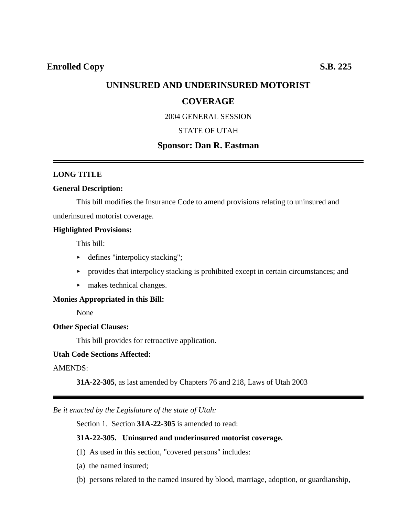## **UNINSURED AND UNDERINSURED MOTORIST**

## **COVERAGE**

2004 GENERAL SESSION

### STATE OF UTAH

## **Sponsor: Dan R. Eastman**

#### **LONG TITLE**

### **General Description:**

This bill modifies the Insurance Code to amend provisions relating to uninsured and underinsured motorist coverage.

#### **Highlighted Provisions:**

This bill:

- $\blacktriangleright$  defines "interpolicy stacking";
- $\rightarrow$  provides that interpolicy stacking is prohibited except in certain circumstances; and
- makes technical changes.

### **Monies Appropriated in this Bill:**

None

### **Other Special Clauses:**

This bill provides for retroactive application.

### **Utah Code Sections Affected:**

### AMENDS:

**31A-22-305**, as last amended by Chapters 76 and 218, Laws of Utah 2003

*Be it enacted by the Legislature of the state of Utah:*

Section 1. Section **31A-22-305** is amended to read:

### **31A-22-305. Uninsured and underinsured motorist coverage.**

- (1) As used in this section, "covered persons" includes:
- (a) the named insured;
- (b) persons related to the named insured by blood, marriage, adoption, or guardianship,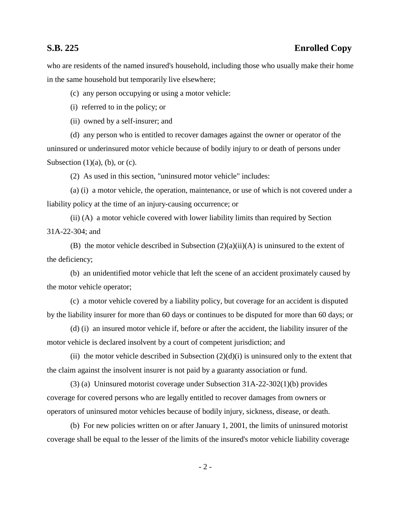who are residents of the named insured's household, including those who usually make their home in the same household but temporarily live elsewhere;

(c) any person occupying or using a motor vehicle:

(i) referred to in the policy; or

(ii) owned by a self-insurer; and

(d) any person who is entitled to recover damages against the owner or operator of the uninsured or underinsured motor vehicle because of bodily injury to or death of persons under Subsection  $(1)(a)$ ,  $(b)$ , or  $(c)$ .

(2) As used in this section, "uninsured motor vehicle" includes:

(a) (i) a motor vehicle, the operation, maintenance, or use of which is not covered under a liability policy at the time of an injury-causing occurrence; or

(ii) (A) a motor vehicle covered with lower liability limits than required by Section 31A-22-304; and

(B) the motor vehicle described in Subsection  $(2)(a)(ii)(A)$  is uninsured to the extent of the deficiency;

(b) an unidentified motor vehicle that left the scene of an accident proximately caused by the motor vehicle operator;

(c) a motor vehicle covered by a liability policy, but coverage for an accident is disputed by the liability insurer for more than 60 days or continues to be disputed for more than 60 days; or

(d) (i) an insured motor vehicle if, before or after the accident, the liability insurer of the motor vehicle is declared insolvent by a court of competent jurisdiction; and

(ii) the motor vehicle described in Subsection  $(2)(d)(i)$  is uninsured only to the extent that the claim against the insolvent insurer is not paid by a guaranty association or fund.

(3) (a) Uninsured motorist coverage under Subsection 31A-22-302(1)(b) provides coverage for covered persons who are legally entitled to recover damages from owners or operators of uninsured motor vehicles because of bodily injury, sickness, disease, or death.

(b) For new policies written on or after January 1, 2001, the limits of uninsured motorist coverage shall be equal to the lesser of the limits of the insured's motor vehicle liability coverage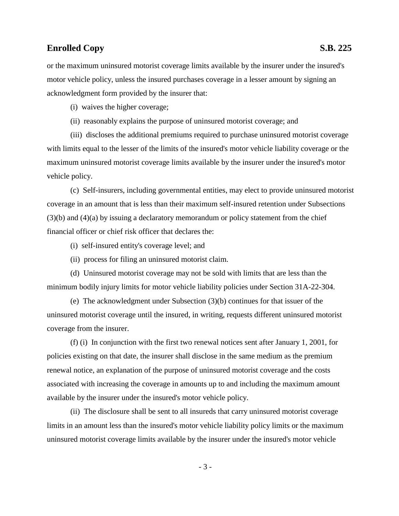or the maximum uninsured motorist coverage limits available by the insurer under the insured's motor vehicle policy, unless the insured purchases coverage in a lesser amount by signing an acknowledgment form provided by the insurer that:

(i) waives the higher coverage;

(ii) reasonably explains the purpose of uninsured motorist coverage; and

(iii) discloses the additional premiums required to purchase uninsured motorist coverage with limits equal to the lesser of the limits of the insured's motor vehicle liability coverage or the maximum uninsured motorist coverage limits available by the insurer under the insured's motor vehicle policy.

(c) Self-insurers, including governmental entities, may elect to provide uninsured motorist coverage in an amount that is less than their maximum self-insured retention under Subsections (3)(b) and (4)(a) by issuing a declaratory memorandum or policy statement from the chief financial officer or chief risk officer that declares the:

- (i) self-insured entity's coverage level; and
- (ii) process for filing an uninsured motorist claim.

(d) Uninsured motorist coverage may not be sold with limits that are less than the minimum bodily injury limits for motor vehicle liability policies under Section 31A-22-304.

(e) The acknowledgment under Subsection (3)(b) continues for that issuer of the uninsured motorist coverage until the insured, in writing, requests different uninsured motorist coverage from the insurer.

(f) (i) In conjunction with the first two renewal notices sent after January 1, 2001, for policies existing on that date, the insurer shall disclose in the same medium as the premium renewal notice, an explanation of the purpose of uninsured motorist coverage and the costs associated with increasing the coverage in amounts up to and including the maximum amount available by the insurer under the insured's motor vehicle policy.

(ii) The disclosure shall be sent to all insureds that carry uninsured motorist coverage limits in an amount less than the insured's motor vehicle liability policy limits or the maximum uninsured motorist coverage limits available by the insurer under the insured's motor vehicle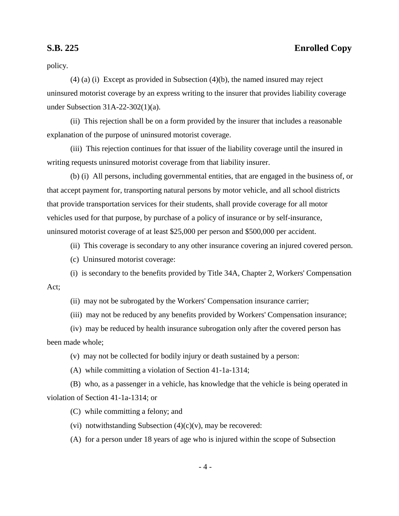policy.

(4) (a) (i) Except as provided in Subsection (4)(b), the named insured may reject uninsured motorist coverage by an express writing to the insurer that provides liability coverage under Subsection 31A-22-302(1)(a).

(ii) This rejection shall be on a form provided by the insurer that includes a reasonable explanation of the purpose of uninsured motorist coverage.

(iii) This rejection continues for that issuer of the liability coverage until the insured in writing requests uninsured motorist coverage from that liability insurer.

(b) (i) All persons, including governmental entities, that are engaged in the business of, or that accept payment for, transporting natural persons by motor vehicle, and all school districts that provide transportation services for their students, shall provide coverage for all motor vehicles used for that purpose, by purchase of a policy of insurance or by self-insurance, uninsured motorist coverage of at least \$25,000 per person and \$500,000 per accident.

(ii) This coverage is secondary to any other insurance covering an injured covered person.

(c) Uninsured motorist coverage:

(i) is secondary to the benefits provided by Title 34A, Chapter 2, Workers' Compensation Act;

(ii) may not be subrogated by the Workers' Compensation insurance carrier;

(iii) may not be reduced by any benefits provided by Workers' Compensation insurance;

(iv) may be reduced by health insurance subrogation only after the covered person has been made whole;

(v) may not be collected for bodily injury or death sustained by a person:

(A) while committing a violation of Section 41-1a-1314;

(B) who, as a passenger in a vehicle, has knowledge that the vehicle is being operated in violation of Section 41-1a-1314; or

(C) while committing a felony; and

(vi) notwithstanding Subsection  $(4)(c)(v)$ , may be recovered:

(A) for a person under 18 years of age who is injured within the scope of Subsection

- 4 -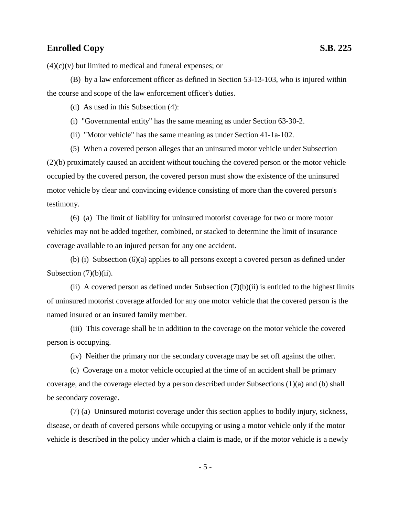$(4)(c)(v)$  but limited to medical and funeral expenses; or

(B) by a law enforcement officer as defined in Section 53-13-103, who is injured within the course and scope of the law enforcement officer's duties.

(d) As used in this Subsection (4):

(i) "Governmental entity" has the same meaning as under Section 63-30-2.

(ii) "Motor vehicle" has the same meaning as under Section 41-1a-102.

(5) When a covered person alleges that an uninsured motor vehicle under Subsection (2)(b) proximately caused an accident without touching the covered person or the motor vehicle occupied by the covered person, the covered person must show the existence of the uninsured motor vehicle by clear and convincing evidence consisting of more than the covered person's testimony.

(6) (a) The limit of liability for uninsured motorist coverage for two or more motor vehicles may not be added together, combined, or stacked to determine the limit of insurance coverage available to an injured person for any one accident.

 $(b)$  (i) Subsection  $(6)(a)$  applies to all persons except a covered person as defined under Subsection  $(7)(b)(ii)$ .

(ii) A covered person as defined under Subsection  $(7)(b)(ii)$  is entitled to the highest limits of uninsured motorist coverage afforded for any one motor vehicle that the covered person is the named insured or an insured family member.

(iii) This coverage shall be in addition to the coverage on the motor vehicle the covered person is occupying.

(iv) Neither the primary nor the secondary coverage may be set off against the other.

(c) Coverage on a motor vehicle occupied at the time of an accident shall be primary coverage, and the coverage elected by a person described under Subsections (1)(a) and (b) shall be secondary coverage.

(7) (a) Uninsured motorist coverage under this section applies to bodily injury, sickness, disease, or death of covered persons while occupying or using a motor vehicle only if the motor vehicle is described in the policy under which a claim is made, or if the motor vehicle is a newly

- 5 -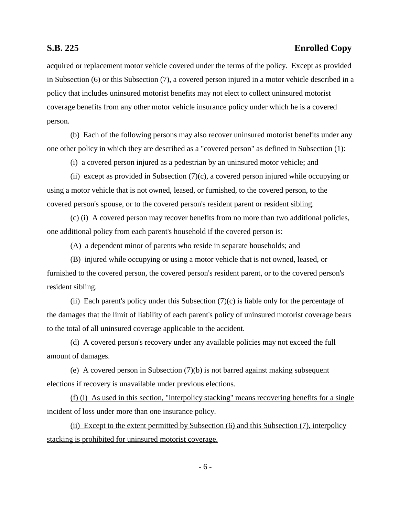acquired or replacement motor vehicle covered under the terms of the policy. Except as provided in Subsection (6) or this Subsection (7), a covered person injured in a motor vehicle described in a policy that includes uninsured motorist benefits may not elect to collect uninsured motorist coverage benefits from any other motor vehicle insurance policy under which he is a covered person.

(b) Each of the following persons may also recover uninsured motorist benefits under any one other policy in which they are described as a "covered person" as defined in Subsection (1):

(i) a covered person injured as a pedestrian by an uninsured motor vehicle; and

(ii) except as provided in Subsection  $(7)(c)$ , a covered person injured while occupying or using a motor vehicle that is not owned, leased, or furnished, to the covered person, to the covered person's spouse, or to the covered person's resident parent or resident sibling.

(c) (i) A covered person may recover benefits from no more than two additional policies, one additional policy from each parent's household if the covered person is:

(A) a dependent minor of parents who reside in separate households; and

(B) injured while occupying or using a motor vehicle that is not owned, leased, or furnished to the covered person, the covered person's resident parent, or to the covered person's resident sibling.

(ii) Each parent's policy under this Subsection  $(7)(c)$  is liable only for the percentage of the damages that the limit of liability of each parent's policy of uninsured motorist coverage bears to the total of all uninsured coverage applicable to the accident.

(d) A covered person's recovery under any available policies may not exceed the full amount of damages.

(e) A covered person in Subsection (7)(b) is not barred against making subsequent elections if recovery is unavailable under previous elections.

(f) (i) As used in this section, "interpolicy stacking" means recovering benefits for a single incident of loss under more than one insurance policy.

(ii) Except to the extent permitted by Subsection (6) and this Subsection (7), interpolicy stacking is prohibited for uninsured motorist coverage.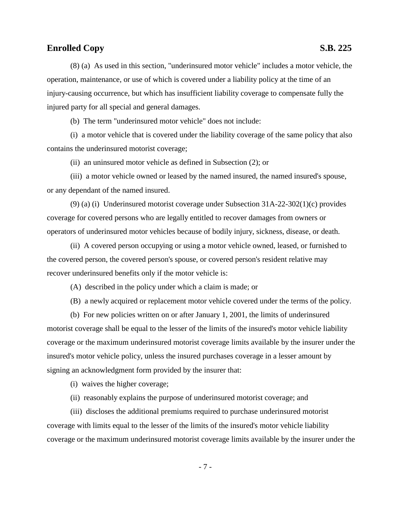(8) (a) As used in this section, "underinsured motor vehicle" includes a motor vehicle, the operation, maintenance, or use of which is covered under a liability policy at the time of an injury-causing occurrence, but which has insufficient liability coverage to compensate fully the injured party for all special and general damages.

(b) The term "underinsured motor vehicle" does not include:

(i) a motor vehicle that is covered under the liability coverage of the same policy that also contains the underinsured motorist coverage;

(ii) an uninsured motor vehicle as defined in Subsection (2); or

(iii) a motor vehicle owned or leased by the named insured, the named insured's spouse, or any dependant of the named insured.

(9) (a) (i) Underinsured motorist coverage under Subsection 31A-22-302(1)(c) provides coverage for covered persons who are legally entitled to recover damages from owners or operators of underinsured motor vehicles because of bodily injury, sickness, disease, or death.

(ii) A covered person occupying or using a motor vehicle owned, leased, or furnished to the covered person, the covered person's spouse, or covered person's resident relative may recover underinsured benefits only if the motor vehicle is:

(A) described in the policy under which a claim is made; or

(B) a newly acquired or replacement motor vehicle covered under the terms of the policy.

(b) For new policies written on or after January 1, 2001, the limits of underinsured motorist coverage shall be equal to the lesser of the limits of the insured's motor vehicle liability coverage or the maximum underinsured motorist coverage limits available by the insurer under the insured's motor vehicle policy, unless the insured purchases coverage in a lesser amount by signing an acknowledgment form provided by the insurer that:

(i) waives the higher coverage;

(ii) reasonably explains the purpose of underinsured motorist coverage; and

(iii) discloses the additional premiums required to purchase underinsured motorist coverage with limits equal to the lesser of the limits of the insured's motor vehicle liability coverage or the maximum underinsured motorist coverage limits available by the insurer under the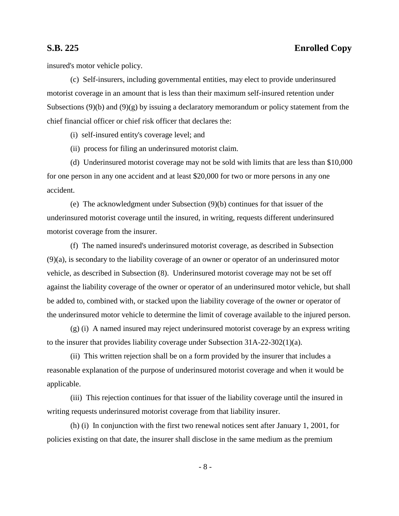insured's motor vehicle policy.

(c) Self-insurers, including governmental entities, may elect to provide underinsured motorist coverage in an amount that is less than their maximum self-insured retention under Subsections (9)(b) and (9)(g) by issuing a declaratory memorandum or policy statement from the chief financial officer or chief risk officer that declares the:

(i) self-insured entity's coverage level; and

(ii) process for filing an underinsured motorist claim.

(d) Underinsured motorist coverage may not be sold with limits that are less than \$10,000 for one person in any one accident and at least \$20,000 for two or more persons in any one accident.

(e) The acknowledgment under Subsection (9)(b) continues for that issuer of the underinsured motorist coverage until the insured, in writing, requests different underinsured motorist coverage from the insurer.

(f) The named insured's underinsured motorist coverage, as described in Subsection (9)(a), is secondary to the liability coverage of an owner or operator of an underinsured motor vehicle, as described in Subsection (8). Underinsured motorist coverage may not be set off against the liability coverage of the owner or operator of an underinsured motor vehicle, but shall be added to, combined with, or stacked upon the liability coverage of the owner or operator of the underinsured motor vehicle to determine the limit of coverage available to the injured person.

 $(g)$  (i) A named insured may reject underinsured motorist coverage by an express writing to the insurer that provides liability coverage under Subsection 31A-22-302(1)(a).

(ii) This written rejection shall be on a form provided by the insurer that includes a reasonable explanation of the purpose of underinsured motorist coverage and when it would be applicable.

(iii) This rejection continues for that issuer of the liability coverage until the insured in writing requests underinsured motorist coverage from that liability insurer.

(h) (i) In conjunction with the first two renewal notices sent after January 1, 2001, for policies existing on that date, the insurer shall disclose in the same medium as the premium

- 8 -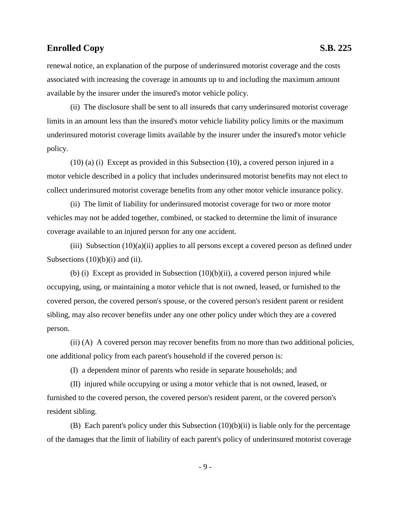renewal notice, an explanation of the purpose of underinsured motorist coverage and the costs associated with increasing the coverage in amounts up to and including the maximum amount available by the insurer under the insured's motor vehicle policy.

(ii) The disclosure shall be sent to all insureds that carry underinsured motorist coverage limits in an amount less than the insured's motor vehicle liability policy limits or the maximum underinsured motorist coverage limits available by the insurer under the insured's motor vehicle policy.

(10) (a) (i) Except as provided in this Subsection (10), a covered person injured in a motor vehicle described in a policy that includes underinsured motorist benefits may not elect to collect underinsured motorist coverage benefits from any other motor vehicle insurance policy.

(ii) The limit of liability for underinsured motorist coverage for two or more motor vehicles may not be added together, combined, or stacked to determine the limit of insurance coverage available to an injured person for any one accident.

(iii) Subsection  $(10)(a)(ii)$  applies to all persons except a covered person as defined under Subsections  $(10)(b)(i)$  and  $(ii)$ .

(b) (i) Except as provided in Subsection (10)(b)(ii), a covered person injured while occupying, using, or maintaining a motor vehicle that is not owned, leased, or furnished to the covered person, the covered person's spouse, or the covered person's resident parent or resident sibling, may also recover benefits under any one other policy under which they are a covered person.

(ii) (A) A covered person may recover benefits from no more than two additional policies, one additional policy from each parent's household if the covered person is:

(I) a dependent minor of parents who reside in separate households; and

(II) injured while occupying or using a motor vehicle that is not owned, leased, or furnished to the covered person, the covered person's resident parent, or the covered person's resident sibling.

(B) Each parent's policy under this Subsection (10)(b)(ii) is liable only for the percentage of the damages that the limit of liability of each parent's policy of underinsured motorist coverage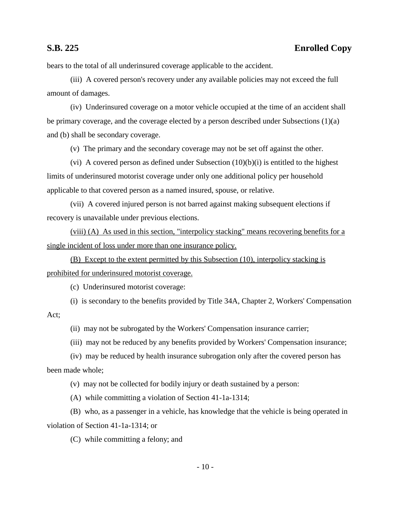bears to the total of all underinsured coverage applicable to the accident.

(iii) A covered person's recovery under any available policies may not exceed the full amount of damages.

(iv) Underinsured coverage on a motor vehicle occupied at the time of an accident shall be primary coverage, and the coverage elected by a person described under Subsections (1)(a) and (b) shall be secondary coverage.

(v) The primary and the secondary coverage may not be set off against the other.

(vi) A covered person as defined under Subsection  $(10)(b)(i)$  is entitled to the highest limits of underinsured motorist coverage under only one additional policy per household applicable to that covered person as a named insured, spouse, or relative.

(vii) A covered injured person is not barred against making subsequent elections if recovery is unavailable under previous elections.

(viii) (A) As used in this section, "interpolicy stacking" means recovering benefits for a single incident of loss under more than one insurance policy.

(B) Except to the extent permitted by this Subsection (10), interpolicy stacking is prohibited for underinsured motorist coverage.

(c) Underinsured motorist coverage:

(i) is secondary to the benefits provided by Title 34A, Chapter 2, Workers' Compensation Act;

(ii) may not be subrogated by the Workers' Compensation insurance carrier;

(iii) may not be reduced by any benefits provided by Workers' Compensation insurance;

(iv) may be reduced by health insurance subrogation only after the covered person has been made whole;

(v) may not be collected for bodily injury or death sustained by a person:

(A) while committing a violation of Section 41-1a-1314;

(B) who, as a passenger in a vehicle, has knowledge that the vehicle is being operated in violation of Section 41-1a-1314; or

(C) while committing a felony; and